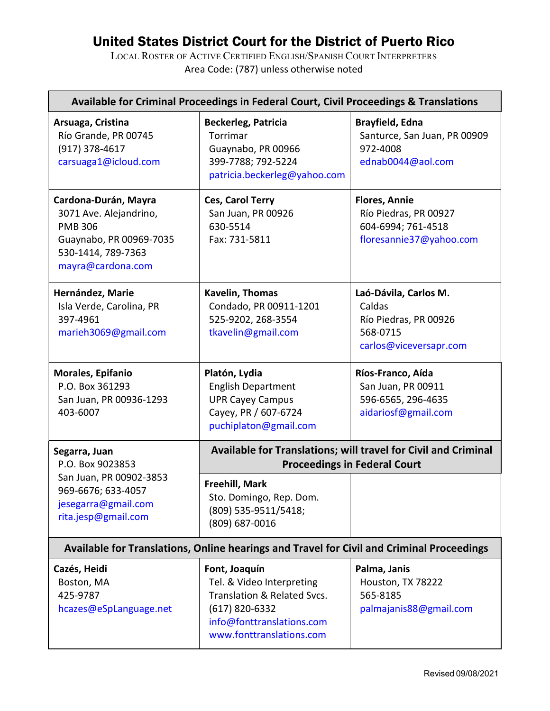## United States District Court for the District of Puerto Rico

LOCAL ROSTER OF ACTIVE CERTIFIED ENGLISH/SPANISH COURT INTERPRETERS Area Code: (787) unless otherwise noted

| Available for Criminal Proceedings in Federal Court, Civil Proceedings & Translations                                                  |                                                                                                                                                        |                                                                                                |  |  |  |
|----------------------------------------------------------------------------------------------------------------------------------------|--------------------------------------------------------------------------------------------------------------------------------------------------------|------------------------------------------------------------------------------------------------|--|--|--|
| Arsuaga, Cristina<br>Río Grande, PR 00745<br>(917) 378-4617<br>carsuaga1@icloud.com                                                    | <b>Beckerleg, Patricia</b><br>Torrimar<br>Guaynabo, PR 00966<br>399-7788; 792-5224<br>patricia.beckerleg@yahoo.com                                     | <b>Brayfield, Edna</b><br>Santurce, San Juan, PR 00909<br>972-4008<br>ednab0044@aol.com        |  |  |  |
| Cardona-Durán, Mayra<br>3071 Ave. Alejandrino,<br><b>PMB 306</b><br>Guaynabo, PR 00969-7035<br>530-1414, 789-7363<br>mayra@cardona.com | Ces, Carol Terry<br>San Juan, PR 00926<br>630-5514<br>Fax: 731-5811                                                                                    | <b>Flores, Annie</b><br>Río Piedras, PR 00927<br>604-6994; 761-4518<br>floresannie37@yahoo.com |  |  |  |
| Hernández, Marie<br>Isla Verde, Carolina, PR<br>397-4961<br>marieh3069@gmail.com                                                       | Kavelin, Thomas<br>Condado, PR 00911-1201<br>525-9202, 268-3554<br>tkavelin@gmail.com                                                                  | Laó-Dávila, Carlos M.<br>Caldas<br>Río Piedras, PR 00926<br>568-0715<br>carlos@viceversapr.com |  |  |  |
| Morales, Epifanio<br>P.O. Box 361293<br>San Juan, PR 00936-1293<br>403-6007                                                            | Platón, Lydia<br><b>English Department</b><br><b>UPR Cayey Campus</b><br>Cayey, PR / 607-6724<br>puchiplaton@gmail.com                                 | Ríos-Franco, Aída<br>San Juan, PR 00911<br>596-6565, 296-4635<br>aidariosf@gmail.com           |  |  |  |
| Segarra, Juan<br>P.O. Box 9023853<br>San Juan, PR 00902-3853<br>969-6676; 633-4057<br>jesegarra@gmail.com<br>rita.jesp@gmail.com       | Available for Translations; will travel for Civil and Criminal<br><b>Proceedings in Federal Court</b>                                                  |                                                                                                |  |  |  |
|                                                                                                                                        | Freehill, Mark<br>Sto. Domingo, Rep. Dom.<br>(809) 535-9511/5418;<br>(809) 687-0016                                                                    |                                                                                                |  |  |  |
| Available for Translations, Online hearings and Travel for Civil and Criminal Proceedings                                              |                                                                                                                                                        |                                                                                                |  |  |  |
| Cazés, Heidi<br>Boston, MA<br>425-9787<br>hcazes@eSpLanguage.net                                                                       | Font, Joaquín<br>Tel. & Video Interpreting<br>Translation & Related Svcs.<br>$(617)$ 820-6332<br>info@fonttranslations.com<br>www.fonttranslations.com | Palma, Janis<br>Houston, TX 78222<br>565-8185<br>palmajanis88@gmail.com                        |  |  |  |